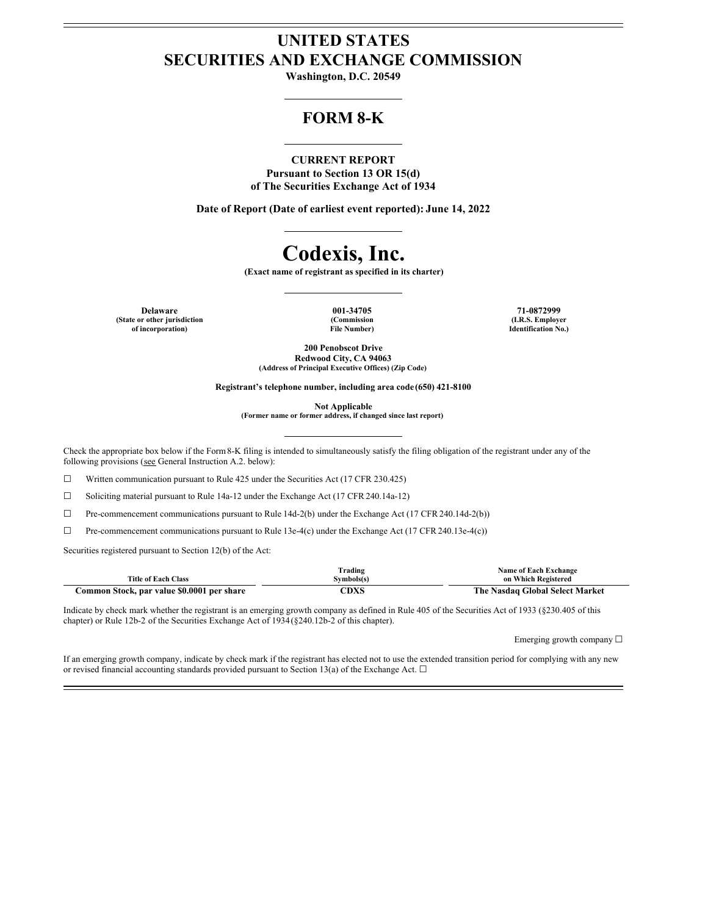## **UNITED STATES SECURITIES AND EXCHANGE COMMISSION**

**Washington, D.C. 20549**

## **FORM 8-K**

#### **CURRENT REPORT**

**Pursuant to Section 13 OR 15(d) of The Securities Exchange Act of 1934**

**Date of Report (Date of earliest event reported): June 14, 2022**

# **Codexis, Inc.**

**(Exact name of registrant as specified in its charter)**

**Delaware 001-34705 71-0872999 (State or other jurisdiction of incorporation)**

**(Commission File Number)**

**(I.R.S. Employer Identification No.)**

**200 Penobscot Drive Redwood City, CA 94063 (Address of Principal Executive Offices) (Zip Code)**

**Registrant's telephone number, including area code (650) 421-8100**

**Not Applicable**

**(Former name or former address, if changed since last report)**

Check the appropriate box below if the Form8-K filing is intended to simultaneously satisfy the filing obligation of the registrant under any of the following provisions (see General Instruction A.2. below):

 $\Box$  Written communication pursuant to Rule 425 under the Securities Act (17 CFR 230.425)

☐ Soliciting material pursuant to Rule 14a-12 under the Exchange Act (17 CFR 240.14a-12)

☐ Pre-commencement communications pursuant to Rule 14d-2(b) under the Exchange Act (17 CFR 240.14d-2(b))

 $\Box$  Pre-commencement communications pursuant to Rule 13e-4(c) under the Exchange Act (17 CFR 240.13e-4(c))

Securities registered pursuant to Section 12(b) of the Act:

|                                            | Trading    | <b>Name of Each Exchange</b>    |
|--------------------------------------------|------------|---------------------------------|
| <b>Title of Each Class</b>                 | Symbols(s) | on Which Registered             |
| Common Stock, par value \$0.0001 per share | CDXS       | The Nasdaq Global Select Market |

Indicate by check mark whether the registrant is an emerging growth company as defined in Rule 405 of the Securities Act of 1933 (§230.405 of this chapter) or Rule 12b-2 of the Securities Exchange Act of 1934(§240.12b-2 of this chapter).

Emerging growth company ☐

If an emerging growth company, indicate by check mark if the registrant has elected not to use the extended transition period for complying with any new or revised financial accounting standards provided pursuant to Section 13(a) of the Exchange Act.  $\Box$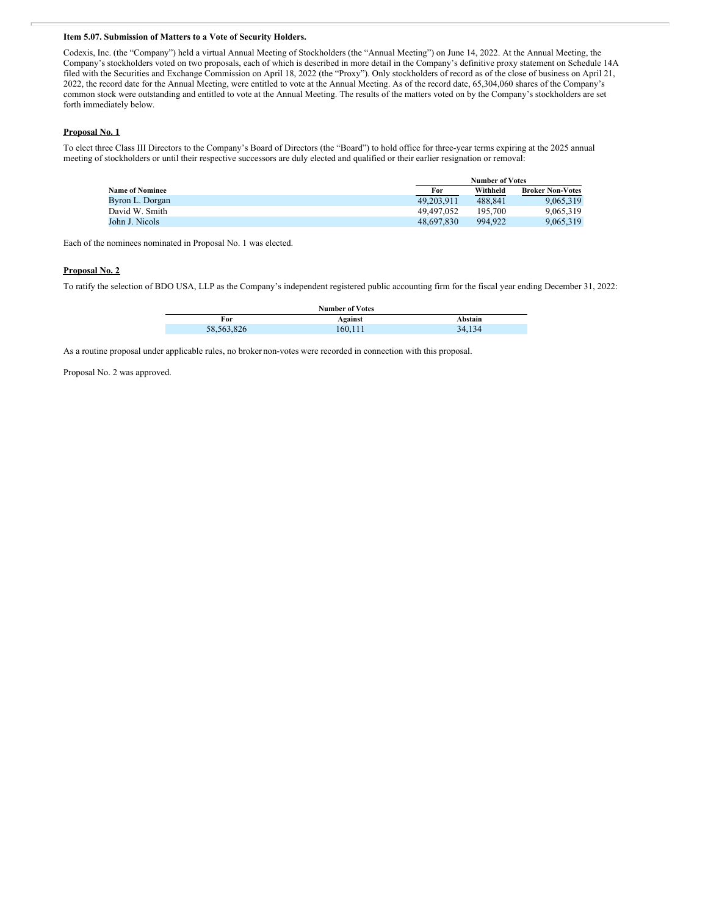#### **Item 5.07. Submission of Matters to a Vote of Security Holders.**

Codexis, Inc. (the "Company") held a virtual Annual Meeting of Stockholders (the "Annual Meeting") on June 14, 2022. At the Annual Meeting, the Company's stockholders voted on two proposals, each of which is described in more detail in the Company's definitive proxy statement on Schedule 14A filed with the Securities and Exchange Commission on April 18, 2022 (the "Proxy"). Only stockholders of record as of the close of business on April 21, 2022, the record date for the Annual Meeting, were entitled to vote at the Annual Meeting. As of the record date, 65,304,060 shares of the Company's common stock were outstanding and entitled to vote at the Annual Meeting. The results of the matters voted on by the Company's stockholders are set forth immediately below.

#### **Proposal No. 1**

To elect three Class III Directors to the Company's Board of Directors (the "Board") to hold office for three-year terms expiring at the 2025 annual meeting of stockholders or until their respective successors are duly elected and qualified or their earlier resignation or removal:

|                        | <b>Number of Votes</b> |          |                         |
|------------------------|------------------------|----------|-------------------------|
| <b>Name of Nominee</b> | For                    | Withheld | <b>Broker Non-Votes</b> |
| Byron L. Dorgan        | 49.203.911             | 488.841  | 9.065.319               |
| David W. Smith         | 49.497.052             | 195.700  | 9.065.319               |
| John J. Nicols         | 48.697.830             | 994.922  | 9.065.319               |

Each of the nominees nominated in Proposal No. 1 was elected.

#### **Proposal No. 2**

To ratify the selection of BDO USA, LLP as the Company's independent registered public accounting firm for the fiscal year ending December 31, 2022:

| <b>Number of Votes</b> |         |         |  |
|------------------------|---------|---------|--|
| For                    | Against | Abstain |  |
| 58,563,826             | 160,111 | 34,134  |  |

As a routine proposal under applicable rules, no broker non-votes were recorded in connection with this proposal.

Proposal No. 2 was approved.